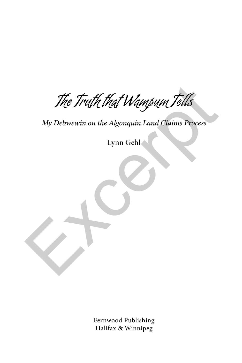The Truth that Wampum Tells The Truth that Wampum Tells<br>My Debwewin on the Algonquin Land Claims Process<br>Lynn Gehl

*My Debwewin on the Algonquin Land Claims Process*

Lynn Gehl

Fernwood Publishing Halifax & Winnipeg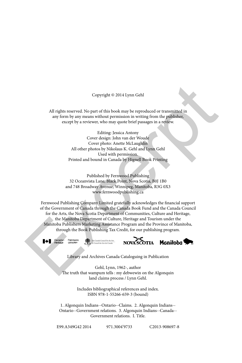#### Copyright © 2014 Lynn Gehl

All rights reserved. No part of this book may be reproduced or transmitted in any form by any means without permission in writing from the publisher, except by a reviewer, who may quote brief passages in a review.

> Editing: Jessica Antony Cover design: John van der Woude Cover photo: Anette McLaughlin All other photos by Nikolaus K. Gehl and Lynn Gehl Used with permission. Printed and bound in Canada by Hignell Book Printing

Published by Fernwood Publishing 32 Oceanvista Lane, Black Point, Nova Scotia, B0J 1B0 and 748 Broadway Avenue, Winnipeg, Manitoba, R3G 0X3 www.fernwoodpublishing.ca

Fernwood Publishing Company Limited gratefully acknowledges the financial support of the Government of Canada through the Canada Book Fund and the Canada Council for the Arts, the Nova Scotia Department of Communities, Culture and Heritage, the Manitoba Department of Culture, Heritage and Tourism under the Manitoba Publishers Marketing Assistance Program and the Province of Manitoba, through the Book Publishing Tax Credit, for our publishing program. Copyright © 2014 Lynn Gehl<br>
All rights reserved. No part of this book may be reproduced or transmitted in<br>
any form by any means without permission in writing from the publishery<br>
excert by a reviewer, who may quote brief





Library and Archives Canada Cataloguing in Publication

Gehl, Lynn, 1962-, author The truth that wampum tells : my debwewin on the Algonquin land claims process / Lynn Gehl.

> Includes bibliographical references and index. ISBN 978-1-55266-659-3 (bound)

1. Algonquin Indians--Ontario--Claims. 2. Algonquin Indians-- Ontario--Government relations. 3. Algonquin Indians--Canada-- Government relations. I. Title.

E99.A349G42 2014 971.3004'9733 C2013-908697-8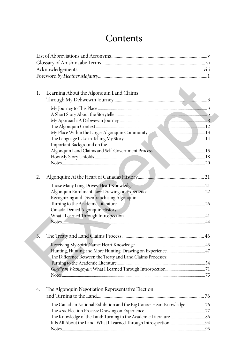# **Contents**

| 1.               | Learning About the Algonquin Land Claims                              |  |
|------------------|-----------------------------------------------------------------------|--|
|                  |                                                                       |  |
|                  |                                                                       |  |
|                  |                                                                       |  |
|                  |                                                                       |  |
|                  |                                                                       |  |
|                  |                                                                       |  |
|                  |                                                                       |  |
|                  | Important Background on the                                           |  |
|                  |                                                                       |  |
|                  |                                                                       |  |
|                  |                                                                       |  |
| 2.               |                                                                       |  |
|                  |                                                                       |  |
|                  |                                                                       |  |
|                  | Recognizing and Disenfranchising Algonquin:                           |  |
|                  |                                                                       |  |
|                  | Canada Denied Algonquin History:                                      |  |
|                  |                                                                       |  |
|                  |                                                                       |  |
|                  |                                                                       |  |
| $\overline{3}$ . |                                                                       |  |
|                  |                                                                       |  |
|                  |                                                                       |  |
|                  | The Difference Between the Treaty and Land Claims Processes:          |  |
|                  |                                                                       |  |
|                  |                                                                       |  |
|                  |                                                                       |  |
| 4.               | The Algonquin Negotiation Representative Election                     |  |
|                  |                                                                       |  |
|                  | The Canadian National Exhibition and the Big Canoe: Heart Knowledge76 |  |
|                  |                                                                       |  |
|                  |                                                                       |  |
|                  |                                                                       |  |
|                  |                                                                       |  |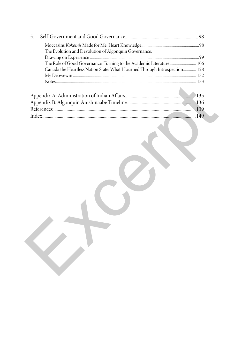| The Role of Good Governance: Turning to the Academic Literature  106        |
|-----------------------------------------------------------------------------|
| Canada the Heartless Nation State: What I Learned Through Introspection 128 |
|                                                                             |
|                                                                             |
|                                                                             |
|                                                                             |
|                                                                             |
|                                                                             |
|                                                                             |
|                                                                             |
|                                                                             |
|                                                                             |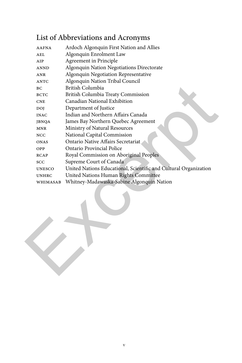## List of Abbreviations and Acronyms

| <b>AAFNA</b>  | Ardoch Algonquin First Nation and Allies                         |
|---------------|------------------------------------------------------------------|
| AEL           | Algonquin Enrolment Law                                          |
| AIP           | Agreement in Principle                                           |
| <b>ANND</b>   | Algonquin Nation Negotiations Directorate                        |
| ANR           | Algonquin Negotiation Representative                             |
| <b>ANTC</b>   | Algonquin Nation Tribal Council                                  |
| <b>BC</b>     | British Columbia                                                 |
| <b>BCTC</b>   | British Columbia Treaty Commission                               |
| <b>CNE</b>    | Canadian National Exhibition                                     |
| <b>DOI</b>    | Department of Justice                                            |
| <b>INAC</b>   | Indian and Northern Affairs Canada                               |
| <b>JBNQA</b>  | James Bay Northern Quebec Agreement                              |
| <b>MNR</b>    | Ministry of Natural Resources                                    |
| NCC           | National Capital Commission                                      |
| <b>ONAS</b>   | Ontario Native Affairs Secretariat                               |
| OPP           | Ontario Provincial Police                                        |
| <b>RCAP</b>   | Royal Commission on Aboriginal Peoples                           |
| SCC           | Supreme Court of Canada                                          |
| <b>UNESCO</b> | United Nations Educational, Scientific and Cultural Organization |
| <b>UNHRC</b>  | United Nations Human Rights Committee                            |
| WHIMASAB      | Whitney-Madawaska-Sabine Algonquin Nation                        |
|               |                                                                  |
|               |                                                                  |
|               |                                                                  |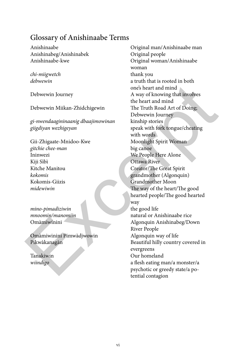### Glossary of Anishinaabe Terms

Anishinabeg/Anishinabek Original people

*chi-miigwetch* thank you

Debwewin Miikan-Zhidchigewin The Truth Road Art of Doing;

*gi-nwendaagininaanig dbaajimowinan* kinship stories *giigdiyan wezhigeyan* speak with fork tongue/cheating

*gitchie chee-man* big canoe Ininwezi We People Here Alone Kiji Sìbì Ottawa River Kitche Manitou Creator/The Great Spirit Kokomis-Giizis Grandmother Moon

*mino-pimadiziwin* the good life

Omàmiwinini Pimwàdjwowin Algonquin way of life

Anishinaabe Original man/Anishinaabe man Anishinaabe-kwe Original woman/Anishinaabe woman *debwewin* a truth that is rooted in both one's heart and mind Debwewin Journey Theorem A way of knowing that involves the heart and mind Debwewin Journey with words Gii-Zhigaate-Mnidoo-Kwe Moonlight Spirit Woman *kokomis* grandmother (Algonquin) *midewiwin* The way of the heart/The good hearted people/The good hearted way *mnoomin/manomiin* Omàmiwinini Algonquin Anishinabeg/Down River People Pikwàkanagàn Beautiful hilly country covered in evergreens Tanakiwin Our homeland *wiindigo* a flesh eating man/a monster/a psychotic or greedy state/a po-Exception II and Solution of the Mayor Constrained Technomics (Mayor Constrained Technomic Schement Technomic Schement Technomic Schement Constrained Schement Schement Schement Schement Schement Schement Schement Schement tential contagion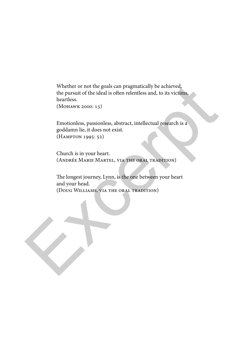Whether or not the goals can pragmatically be achieved, the pursuit of the ideal is often relentless and, to its victims, heartless. Whether or not the goals can pragmatically be achieved,<br>the pursuit of the ideal is often relentless and, to its victims,<br>heartless.<br>(MOHAWK 2000: 13)<br>Emotionless, passionless, abstract, intellectual research is a<br>goddamn

(Mohawk 2000: 13)

Emotionless, passionless, abstract, intellectual research is a goddamn lie, it does not exist. (Hampton 1995: 52)

Church is in your heart. (Andrée Marie Martel, via the oral tradition)

The longest journey, Lynn, is the one between your heart and your head. (Doug Williams, via the oral tradition)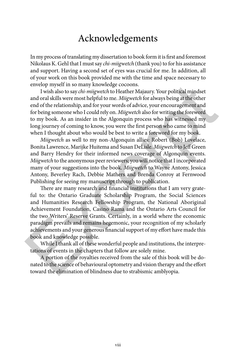### Acknowledgements

In my process of translating my dissertation to book form it is first and foremost Nikolaus K. Gehl that I must say *chi-miigwetch* (thank you) to for his assistance and support. Having a second set of eyes was crucial for me. In addition, all of your work on this book provided me with the time and space necessary to envelop myself in so many knowledge cocoons.

I wish also to say *chi-miigwetch* to Heather Majaury. Your political mindset and oral skills were most helpful to me. *Miigwetch* for always being at the other end of the relationship, and for your words of advice, your encouragement and for being someone who I could rely on. *Miigwetch* also for writing the foreword to my book. As an insider in the Algonquin process who has witnessed my long journey of coming to know, you were the first person who came to mind when I thought about who would be best to write a foreword for my book.

*Miigwetch* as well to my non-Algonquin allies: Robert (Bob) Lovelace, Bonita Lawrence, Marijke Huitema and Susan DeLisle. *Miigwetch* to Jeff Green and Barry Hendry for their informed news coverage of Algonquin events. *Miigwetch* to the anonymous peer reviewers; you will notice that I incorporated many of your suggestions into the book. *Miigwetch* to Wayne Antony, Jessica Antony, Beverley Rach, Debbie Mathers and Brenda Conroy at Fernwood Publishing for seeing my manuscript through to publication.

There are many research and financial institutions that I am very grateful to: the Ontario Graduate Scholarship Program, the Social Sciences and Humanities Research Fellowship Program, the National Aboriginal Achievement Foundation, Casino Rama and the Ontario Arts Council for the two Writers' Reserve Grants. Certainly, in a world where the economic paradigm prevails and remains hegemonic, your recognition of my scholarly achievements and your generous financial support of my effort have made this book and knowledge possible. envelop myself in so many knowledge cocons.<br>
I wish also to say chi-migoweth to Heather Najaury. Your political mindset<br>
and oral skills were most helpful to me. *Mitgwetch* for always being at the other<br>
end orls als lil

While I thank all of these wonderful people and institutions, the interpretations of events in the chapters that follow are solely mine.

A portion of the royalties received from the sale of this book will be donated to the science of behavioural optometry and vision therapy and the effort toward the elimination of blindness due to strabismic amblyopia.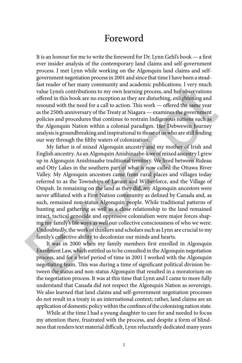### Foreword

It is an honour for me to write the foreword for Dr. Lynn Gehl's book — a first ever insider analysis of the contemporary land claims and self-government process. I met Lynn while working on the Algonquin land claims and selfgovernment negotiation process in 2001 and since that time I have been a steadfast reader of her many community and academic publications. I very much value Lynn's contributions to my own learning process, and her observations offered in this book are no exception as they are disturbing, enlightening and resound with the need for a call to action. This work — offered the same year as the 250th anniversary of the Treaty at Niagara — examines the government policies and procedures that continue to restrain Indigenous nations such as the Algonquin Nation within a colonial paradigm. Her Debwewin Journey analysis is groundbreaking and inspirational to those of us who are still finding our way through the filthy waters of colonization.

My father is of mixed Algonquin ancestry and my mother of Irish and English ancestry. As an Algonquin Anishinaabe-kwe of mixed ancestry I grew up in Algonquin Anishinaabe traditional territory. We lived between Rideau and Otty Lakes in the southern part of what is now called the Ottawa River Valley. My Algonquin ancestors came from rural places and villages today referred to as the Townships of Lavant and Wilberforce, and the Village of Ompah. In remaining on the land as they did, my Algonquin ancestors were never affiliated with a First Nation community as defined by Canada and, as such, remained non-status Algonquin people. While traditional patterns of hunting and gathering as well as a close relationship to the land remained intact, tactical genocide and oppressive colonialism were major forces shaping my family's life ways as well our collective consciousness of who we were. Undoubtedly, the work of thinkers and scholars such as Lynn are crucial to my family's collective ability to decolonize our minds and hearts. fast reader of her many community and academic publications. I very much value I synts contributions to my own learning process, and her observations offered in this book are no exception as they are disturbing, enlighten

It was in 2000 when my family members first enrolled in Algonquin Enrolment Law, which entitled us to be consulted in the Algonquin negotiation process, and for a brief period of time in 2001 I worked with the Algonquin negotiating team. This was during a time of significant political division between the status and non-status Algonquin that resulted in a moratorium on the negotiation process. It was at this time that Lynn and I came to more fully understand that Canada did not respect the Algonquin Nation as sovereign. We also learned that land claims and self-government negotiation processes do not result in a treaty in an international context; rather, land claims are an application of domestic policy within the confines of the colonizing nation state.

While at the time I had a young daughter to care for and needed to focus my attention there, frustrated with the process, and despite a form of blindness that renders text material difficult, Lynn reluctantly dedicated many years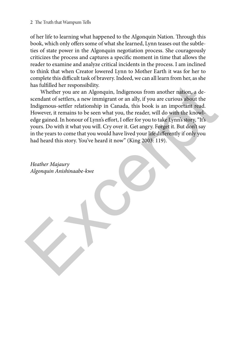of her life to learning what happened to the Algonquin Nation. Through this book, which only offers some of what she learned, Lynn teases out the subtleties of state power in the Algonquin negotiation process. She courageously criticizes the process and captures a specific moment in time that allows the reader to examine and analyze critical incidents in the process. I am inclined to think that when Creator lowered Lynn to Mother Earth it was for her to complete this difficult task of bravery. Indeed, we can all learn from her, as she has fulfilled her responsibility.

Whether you are an Algonquin, Indigenous from another nation, a descendant of settlers, a new immigrant or an ally, if you are curious about the Indigenous-settler relationship in Canada, this book is an important read. However, it remains to be seen what you, the reader, will do with the knowledge gained. In honour of Lynn's effort, I offer for you to take Lynn's story, "It's yours. Do with it what you will. Cry over it. Get angry. Forget it. But don't say in the years to come that you would have lived your life differently if only you had heard this story. You've heard it now" (King 2003: 119). has fulfilled her responsibility.<br>
Whether you are an Algonquin, Indigenous from another ration, a de-<br>
scendant of settlers, a new immigrant or an ally, if you are curious about the<br>
Indigenous-settler relationship in Can

*Heather Majaury Algonquin Anishinaabe-kwe*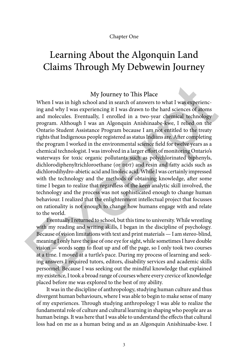## Learning About the Algonquin Land Claims Through My Debwewin Journey

#### My Journey to This Place

When I was in high school and in search of answers to what I was experiencing and why I was experiencing it I was drawn to the hard sciences of atoms and molecules. Eventually, I enrolled in a two-year chemical technology program. Although I was an Algonquin Anishinaabe-kwe, I relied on the Ontario Student Assistance Program because I am not entitled to the treaty rights that Indigenous people registered as status Indians are. After completing the program I worked in the environmental science field for twelve years as a chemical technologist. I was involved in a larger effort of monitoring Ontario's waterways for toxic organic pollutants such as polychlorinated biphenyls, dichlorodiphenyltrichloroethane (or DDT) and resin and fatty acids such as dichlorodihydro-abietic acid and linoleic acid. While I was certainly impressed with the technology and the methods of obtaining knowledge, after some time I began to realize that regardless of the keen analytic skill involved, the technology and the process was not sophisticated enough to change human behaviour. I realized that the enlightenment intellectual project that focusses on rationality is not enough to change how humans engage with and relate to the world. My Journey to This Place<br>
When I was in high school and in search of answers to what I was experienc-<br>
ing and why I was experiencing it I was drawn to the hard sciences of a<br>
ans and molecules. Eventually, I enrolled in

Eventually I returned to school, but this time to university. While wrestling with my reading and writing skills, I began in the discipline of psychology. Because of vision limitations with text and print materials — I am stereo-blind, meaning I only have the use of one eye for sight, while sometimes I have double vision — words seem to float up and off the page, so I only took two courses at a time. I moved at a turtle's pace. During my process of learning and seeking answers I required tutors, editors, disability services and academic skills personnel. Because I was seeking out the mindful knowledge that explained my existence, I took a broad range of courses where every crevice of knowledge placed before me was explored to the best of my ability.

It was in the discipline of anthropology, studying human culture and thus divergent human behaviours, where I was able to begin to make sense of many of my experiences. Through studying anthropology I was able to realize the fundamental role of culture and cultural learning in shaping who people are as human beings. It was here that I was able to understand the effects that cultural loss had on me as a human being and as an Algonquin Anishinaabe-kwe. I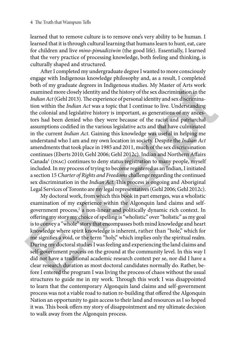learned that to remove culture is to remove one's very ability to be human. I learned that it is through cultural learning that humans learn to hunt, eat, care for children and live *mino-pimadiziwin* (the good life). Essentially, I learned that the very practice of processing knowledge, both feeling and thinking, is culturally shaped and structured.

After I completed my undergraduate degree I wanted to more consciously engage with Indigenous knowledge philosophy and, as a result, I completed both of my graduate degrees in Indigenous studies. My Master of Arts work examined more closely identity and the history of the sex discrimination in the *Indian Act* (Gehl 2013). The experience of personal identity and sex discrimination within the *Indian Act* was a topic that I continue to live. Understanding the colonial and legislative history is important, as generations of my ancestors had been denied who they were because of the racist and patriarchal assumptions codified in the various legislative acts and that have culminated in the current *Indian Act*. Gaining this knowledge was useful in helping me understand who I am and my own location in society. Despite the *Indian Act* amendments that took place in 1985 and 2011, much of the sex discrimination continues (Eberts 2010; Gehl 2006; Gehl 2012c). Indian and Northern Affairs Canada<sup>1</sup> (INAC) continues to deny status registration to many people, myself included. In my process of trying to become registered as an Indian, I initiated a section 15 *Charter of Rights and Freedoms* challenge regarding the continued sex discrimination in the *Indian Act*. This process is ongoing and Aboriginal Legal Services of Toronto are my legal representatives (Gehl 2006; Gehl 2012c). both of my graduate degrees in Indigenous studies. My Master of Arts work<br>examined more closely identify and the history of the sex discrimination in the<br>*Endian Act* (Gehl 2013). The experience of personal identity and s

My doctoral work, from which this book in part emerges, was a wholistic examination of my experience within the Algonquin land claims and selfgovernment process,<sup>2</sup> a non-linear and politically dynamic rich context. In offering my story my choice of spelling is "wholistic" over "holistic" as my goal is to convey a "whole" story that encompasses both mind knowledge and heart knowledge where spirit knowledge is inherent, rather than "hole," which for me signifies a void, or the term "holy," which implies only the spiritual realm. During my doctoral studies I was feeling and experiencing the land claims and self-government process on the ground at the community level. In this way I did not have a traditional academic research context per se, nor did I have a clear research duration as most doctoral candidates normally do. Rather, before I entered the program I was living the process of chaos without the usual structures to guide me in my work. Through this work I was disappointed to learn that the contemporary Algonquin land claims and self-government process was not a viable road to nation re-building that offered the Algonquin Nation an opportunity to gain access to their land and resources as I so hoped it was. This book offers my story of disappointment and my ultimate decision to walk away from the Algonquin process.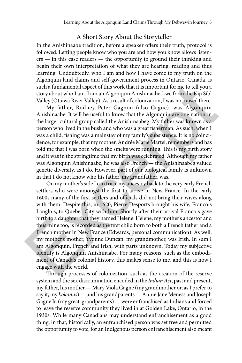#### A Short Story About the Storyteller

In the Anishinaabe tradition, before a speaker offers their truth, protocol is followed. Letting people know who you are and how you know allows listeners — in this case readers — the opportunity to ground their thinking and begin their own interpretation of what they are hearing, reading and thus learning. Undoubtedly, who I am and how I have come to my truth on the Algonquin land claims and self-government process in Ontario, Canada, is such a fundamental aspect of this work that it is important for me to tell you a story about who I am. I am an Algonquin Anishinaabe-kwe from the Kiji Sìbì Valley (Ottawa River Valley). As a result of colonization, I was not raised there.

My father, Rodney Peter Gagnon (also Gagne), was Algonquin Anishinaabe. It will be useful to know that the Algonquin are one nation in the larger cultural group called the Anishinaabeg. My father was known as a person who lived in the bush and who was a great fisherman. As such, when I was a child, fishing was a mainstay of my family's subsistence. It is no coincidence, for example, that my mother, Andrée Marie Martel, remembers and has told me that I was born when the smelts were running. This is my birth story and it was in the springtime that my birth was celebrated. Although my father was Algonquin Anishinaabe, he was also French — the Anishinaabeg valued genetic diversity, as I do. However, part of our biological family is unknown in that I do not know who his father, my grandfather, was.

On my mother's side I can trace my ancestry back to the very early French settlers who were amongst the first to arrive in New France. In the early 1600s many of the first settlers and officials did not bring their wives along with them. Despite this, in 1620, Pierre Desports brought his wife, Francois Langlois, to Quebec City with him. Shortly after their arrival Francois gave birth to a daughter that they named Helene. Helene, my mother's ancestor and thus mine too, is recorded as the first child born to both a French father and a French mother in New France (Edwards, personal communication). As well, my mother's mother, Yvonne Duncan, my grandmother, was Irish. In sum I am Algonquin, French and Irish, with parts unknown. Today my subjective identity is Algonquin Anishinaabe. For many reasons, such as the embodiment of Canada's colonial history, this makes sense to me, and this is how I engage with the world. such a fundamental aspect of this work that it is important for me to tell you a<br>story about who I am. I am an Algonquin Anishinaabe-kwe from the Kiji Sibi<br>Valey (Ottawa River Valley). As a result of colonization, I was no

Through processes of colonization, such as the creation of the reserve system and the sex discrimination encoded in the *Indian Act*, past and present, my father, his mother — Mary Viola Gagne (my grandmother or, as I prefer to say it, my *kokomis*) — and his grandparents — Annie Jane Meness and Joseph Gagne Jr. (my great-grandparents) — were enfranchised as Indians and forced to leave the reserve community they lived in at Golden Lake, Ontario, in the 1930s. While many Canadians may understand enfranchisement as a good thing, in that, historically, an enfranchised person was set free and permitted the opportunity to vote, for an Indigenous person enfranchisement also meant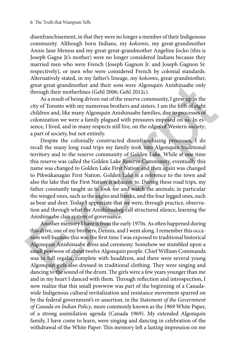disenfranchisement, in that they were no longer a member of their Indigenous community. Although born Indians, my *kokomis*, my great-grandmother Annie Jane Meness and my great-great-grandmother Angeline Jocko (this is Joseph Gagne Jr.'s mother) were no longer considered Indians because they married men who were French (Joseph Gagnon Jr. and Joseph Gagnon Sr. respectively), or men who were considered French by colonial standards. Alternatively stated, in my father's lineage, my *kokomis*, great-grandmother, great-great-grandmother and their sons were Algonquin Anishinaabe only through their motherlines (Gehl 2006; Gehl 2012c).

As a result of being driven out of the reserve community, I grew up in the city of Toronto with my numerous brothers and sisters. I am the fifth of eight children and, like many Algonquin Anishinaabe families, due to processes of colonization we were a family plagued with pressures imposed on us. In essence, I lived, and in many respects still live, on the edges of Western society; a part of society, but not entirely.

Despite the colonially constructed disenfranchising processes, I do recall the many long road trips my family took into Algonquin traditional territory and to the reserve community of Golden Lake. While at one time this reserve was called the Golden Lake Reserve Community, eventually this name was changed to Golden Lake First Nation and then again was changed to Pikwàkanagàn First Nation. Golden Lake is a reference to the town and also the lake that the First Nation is adjacent to. During these road trips, my father constantly taught us to look for and watch the animals; in particular the winged ones, such as the eagles and hawks, and the four legged ones, such as bear and deer. Today I appreciate that we were, through practice, observation and through what the Anishinaabeg call structured silence, learning the Anishinaabe clan system of governance. great-great-grandmother and their sons were Algonquin Anishinaabe only<br>through their motherlines (Gehl 2006; Gehl 20012).<br>As a result of being driven out of the reserve community, I grew up in the<br>city of Toronto with my n

Another memory I have is from the early 1970s. As often happened during this drive, one of my brothers, Dennis, and I went along. I remember this occasion well because this was the first time I was exposed to traditional historical Algonquin Anishinaabe dress and ceremony. Somehow we stumbled upon a small powwow of about twelve Algonquin people. Chief William Commanda was in full regalia, complete with headdress, and there were several young Algonquin girls also dressed in traditional clothing. They were singing and dancing to the sound of the drum. The girls were a few years younger than me and in my heart I danced with them. Through reflection and introspection, I now realize that this small powwow was part of the beginning of a Canadawide Indigenous cultural revitalization and resistance movement spurred on by the federal government's re-assertion, in the *Statement of the Government of Canada on Indian Policy*, more commonly known as the 1969 White Paper, of a strong assimilation agenda (Canada 1969). My extended Algonquin family, I have come to learn, were singing and dancing in celebration of the withdrawal of the White Paper. This memory left a lasting impression on me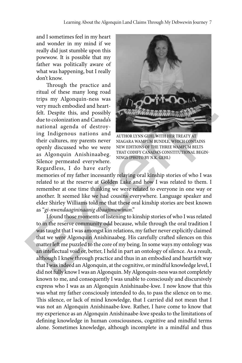and I sometimes feel in my heart and wonder in my mind if we really did just stumble upon this powwow. It is possible that my father was politically aware of what was happening, but I really don't know.

Through the practice and ritual of these many long road trips my Algonquin-ness was very much embodied and heartfelt. Despite this, and possibly due to colonization and Canada's national agenda of destroying Indigenous nations and their cultures, my parents never openly discussed who we were as Algonquin Anishinaabeg. Silence permeated everywhere. Regardless, I do have early



Author Lynn Gehl with her Treaty at Niagara Wampum Bundle, which contains new editions of the three wampum belts that codify Canada's constitutional beginnings (Photo by N.K. Gehl)

memories of my father incessantly relaying oral kinship stories of who I was related to at the reserve at Golden Lake and how I was related to them. I remember at one time thinking we were related to everyone in one way or another. It seemed like we had cousins everywhere. Language speaker and elder Shirley Williams told me that these oral kinship stories are best known as "*gi-nwendaagininaanig dbaajimowinan*."

I found those moments of listening to kinship stories of who I was related to in the reserve community odd because, while through the oral tradition I was taught that I was amongst kin relations, my father never explicitly claimed that we were Algonquin Anishinaabeg. His carefully crafted silences on this matter left me puzzled to the core of my being. In some ways my ontology was an intellectual void or, better, I held in part an ontology of silence. As a result, although I knew through practice and thus in an embodied and heartfelt way that I was indeed an Algonquin, at the cognitive, or mindful knowledge level, I did not fully know I was an Algonquin. My Algonquin-ness was not completely known to me, and consequently I was unable to consciously and discursively express who I was as an Algonquin Anishinaabe-kwe. I now know that this was what my father consciously intended to do, to pass the silence on to me. This silence, or lack of mind knowledge, that I carried did not mean that I was not an Algonquin Anishinaabe-kwe. Rather, I have come to know that my experience as an Algonquin Anishinaabe-kwe speaks to the limitations of defining knowledge in human consciousness, cognitive and mindful terms alone. Sometimes knowledge, although incomplete in a mindful and thus Through the practice and the<br>small of these many long road trials my Algonquin-ness was<br>tery much embodied and heart-<br>felt. Despite this, and possibly and condination and Canadas<br>and the colonization and Canadas<br>and a der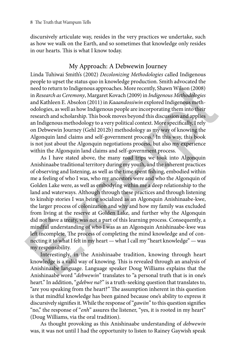discursively articulate way, resides in the very practices we undertake, such as how we walk on the Earth, and so sometimes that knowledge only resides in our hearts. This is what I know today.

### My Approach: A Debwewin Journey

Linda Tuhiwai Smith's (2002) *Decolonizing Methodologies* called Indigenous people to upset the status quo in knowledge production. Smith advocated the need to return to Indigenous approaches. More recently, Shawn Wilson (2008) in *Research as Ceremony*, Margaret Kovach (2009) in *Indigenous Methodologies* and Kathleen E. Absolon (2011) in *Kaaandossiwin* explored Indigenous methodologies, as well as how Indigenous people are incorporating them into their research and scholarship. This book moves beyond this discussion and applies an Indigenous methodology to a very political context. More specifically, I rely on Debwewin Journey (Gehl 2012b) methodology as my way of knowing the Algonquin land claims and self-government process.3 In this way, this book is not just about the Algonquin negotiations process, but also my experience within the Algonquin land claims and self-government process.

As I have stated above, the many road trips we took into Algonquin Anishinaabe traditional territory during my youth, and the inherent practices of observing and listening, as well as the time spent fishing, embodied within me a feeling of who I was, who my ancestors were and who the Algonquin of Golden Lake were, as well as embodying within me a deep relationship to the land and waterways. Although through these practices and through listening to kinship stories I was being socialized as an Algonquin Anishinaabe-kwe, the larger process of colonization and why and how my family was excluded from living at the reserve at Golden Lake, and further why the Algonquin did not have a treaty, was not a part of this learning process. Consequently, a mindful understanding of who I was as an Algonquin Anishinaabe-kwe was left incomplete. The process of completing the mind knowledge and of connecting it to what I felt in my heart — what I call my "heart knowledge" — was my responsibility. pope to upset on state quality and spaces and the medal of the medal of the medal of the medal of the medal of the medal of the medal of the medal of the medal of the medal of the medal of the medal of the medal of the med

Interestingly, in the Anishinaabe tradition, knowing through heart knowledge is a valid way of knowing. This is revealed through an analysis of Anishinaabe language. Language speaker Doug Williams explains that the Anishinaabe word "*debwewin*" translates to "a personal truth that is in one's heart." In addition, "*gdebwe na*?" is a truth-seeking question that translates to, "are you speaking from the heart?" The assumption inherent in this question is that mindful knowledge has been gained because one's ability to express it discursively signifies it. While the response of "*gawiin*" to this question signifies "no," the response of "*enh*" assures the listener, "yes, it is rooted in my heart" (Doug Williams, via the oral tradition).

As thought provoking as this Anishinaabe understanding of *debwewin* was, it was not until I had the opportunity to listen to Rainey Gaywish speak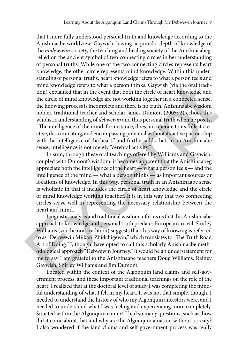that I more fully understood personal truth and knowledge according to the Anishinaabe worldview. Gaywish, having acquired a depth of knowledge of the *midewiwin* society, the teaching and healing society of the Anishinaabeg, relied on the ancient symbol of two connecting circles in her understanding of personal truths. While one of the two connecting circles represents heart knowledge, the other circle represents mind knowledge. Within this understanding of personal truths, heart knowledge refers to what a person feels and mind knowledge refers to what a person thinks. Gaywish (via the oral tradition) explained that in the event that both the circle of heart knowledge and the circle of mind knowledge are not working together in a connected sense, the knowing process is incomplete and there is no truth. Anishinaabe wisdom holder, traditional teacher and scholar James Dumont (2005: 2) echoes this wholistic understanding of *debwewin* and thus personal truth when he posits, "The intelligence of the mind, for instance, does not operate to its fullest creative, discriminating, and encompassing potential without its active partnership with the intelligence of the heart," and further adds that, in an Anishinaabe sense, intelligence is not merely "cerebral activity." mind knowledge refers to what a person thinks. Gaywish (via the oral tradion) explained that in the event that both the circle of heart knowledge and the circle of mind knowledge are not working together in a connected se

In sum, through these oral teachings offered by Williams and Gaywish, coupled with Dumont's wisdom, it becomes apparent that the Anishinaabeg appreciate both the intelligence of the heart — what a person feels — and the intelligence of the mind — what a person thinks — as important sources or locations of knowledge. In this way, personal truth in an Anishinaabe sense is wholistic in that it includes the circle of heart knowledge and the circle of mind knowledge working together. It is in this way that two connecting circles serve well in representing the necessary relationship between the heart and mind.

Linguistic analysis and traditional wisdom informs us that this Anishinaabe approach to knowledge and personal truth predates European arrival. Shirley Williams (via the oral tradition) suggests that this way of knowing is referred to as "Debwewin Miikan-Zhidchigewin," which translates to "The Truth Road Art of Doing." I, though, have opted to call this scholarly Anishinaabe methodological approach "Debwewin Journey." It would be an understatement for me to say I am grateful to the Anishinaabe teachers Doug Williams, Rainey Gaywish, Shirley Williams and Jim Dumont.

Located within the context of the Algonquin land claims and self-government process, and these important traditional teachings on the role of the heart, I realized that at the doctoral level of study I was completing the mindful understanding of what I felt in my heart. It was not that simple, though. I needed to understand the history of who my Algonquin ancestors were, and I needed to understand what I was feeling and experiencing more completely. Situated within the Algonquin context I had so many questions, such as, how did it come about that and why are the Algonquin a nation without a treaty? I also wondered if the land claims and self-government process was really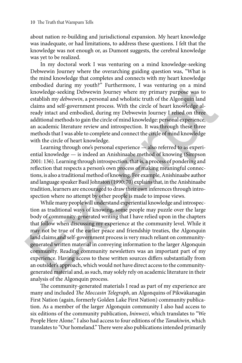about nation re-building and jurisdictional expansion. My heart knowledge was inadequate, or had limitations, to address these questions. I felt that the knowledge was not enough or, as Dumont suggests, the cerebral knowledge was yet to be realized.

In my doctoral work I was venturing on a mind knowledge-seeking Debwewin Journey where the overarching guiding question was, "What is the mind knowledge that completes and connects with my heart knowledge embodied during my youth?" Furthermore, I was venturing on a mind knowledge-seeking Debwewin Journey where my primary purpose was to establish my *debwewin*, a personal and wholistic truth of the Algonquin land claims and self-government process. With the circle of heart knowledge already intact and embodied, during my Debwewin Journey I relied on three additional methods to gain the circle of mind knowledge: personal experience, an academic literature review and introspection. It was through these three methods that I was able to complete and connect the circle of mind knowledge with the circle of heart knowledge.

Learning through one's personal experience — also referred to as experiential knowledge — is indeed an Anishinaabe method of knowing (Simpson 2001: 136). Learning through introspection, that is, a process of pondering and reflection that respects a person's own process of making meaningful connections, is also a traditional method of knowing. For example, Anishinaabe author and language speaker Basil Johnston (1990: 70) explains that, in the Anishinaabe tradition, learners are encouraged to draw their own inferences through introspection where no attempt by other people is made to impose views.

While many people will understand experiential knowledge and introspection as traditional ways of knowing, some people may puzzle over the large body of community-generated writing that I have relied upon in the chapters that follow when discussing my experience at the community level. While it may not be true of the earlier peace and friendship treaties, the Algonquin land claims and self-government process is very much reliant on communitygenerated written material in conveying information to the larger Algonquin community. Reading community newsletters was an important part of my experience. Having access to these written sources differs substantially from an outsider's approach, which would not have direct access to the communitygenerated material and, as such, may solely rely on academic literature in their analysis of the Algonquin process. embodied during my youth?" Furthermore, 1 was venturing on a mind knowledge-secking Debowevin Journey where my primary purpose was to establish my debwewin, a personal and wholistic truth of the Algonquin land claims and

The community-generated materials I read as part of my experience are many and included *The Moccasin Telegraph*, an Algonquins of Pikwàkanagàn First Nation (again, formerly Golden Lake First Nation) community publication. As a member of the larger Algonquin community I also had access to six editions of the community publication, *Ininwezi*, which translates to "We People Here Alone." I also had access to four editions of the *Tanakiwin*, which translates to "Our homeland." There were also publications intended primarily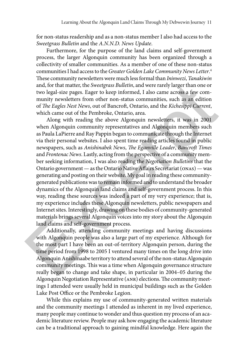for non-status readership and as a non-status member I also had access to the *Sweetgrass Bulletin* and the *A.N.N.D. News Update*.

Furthermore, for the purpose of the land claims and self-government process, the larger Algonquin community has been organized through a collectivity of smaller communities. As a member of one of these non-status communities I had access to the *Greater Golden Lake Community News Letter*. 4 These community newsletters were much less formal than *Ininwezi*, *Tanakiwin* and, for that matter, the *Sweetgrass Bulletin*, and were rarely larger than one or two legal-size pages. Eager to keep informed, I also came across a few community newsletters from other non-status communities, such as an edition of *The Eagles Nest News*, out of Bancroft, Ontario, and the *Kichesippi Current*, which came out of the Pembroke, Ontario, area.

Along with reading the above Algonquin newsletters, it was in 2001 when Algonquin community representatives and Algonquin members such as Paula LaPierre and Ray Pappin began to communicate through the Internet via their personal websites. I also spent time reading articles found in public newspapers, such as *Anishinabek News*, *The Eganville Leader*, *Bancroft Times* and *Frontenac News*. Lastly, acting from the perspective of a community member seeking information, I was also reading the *Negotiation Bulletins* that the Ontario government — as the Ontario Native Affairs Secretariat (onas) — was generating and posting on their website. My goal in reading these communitygenerated publications was to remain informed and to understand the broader dynamics of the Algonquin land claims and self-government process. In this way, reading these sources was indeed a part of my very experience; that is, my experience includes these Algonquin newsletters, public newspapers and Internet sites. Interestingly, drawing on these bodies of community-generated materials brings several Algonquin voices into my story about the Algonquin land claims and self-government process. and, for that matter, the *Sweetgrass Bulletin*, and were rarely larger than one or<br>two legal-size pages. Eager to keep informed, I also came across a few com-<br>munity newsletters from other non-status communities, such as

Additionally, attending community meetings and having discussions with Algonquin people was also a large part of my experience. Although for the most part I have been an out-of-territory Algonquin person, during the time period from 1998 to 2005 I ventured many times on the long drive into Algonquin Anishinaabe territory to attend several of the non-status Algonquin community meetings. This was a time when Algonquin governance structure really began to change and take shape, in particular in 2004–05 during the Algonquin Negotiation Representative (ANR) elections. The community meetings I attended were usually held in municipal buildings such as the Golden Lake Post Office or the Pembroke Legion.

While this explains my use of community-generated written materials and the community meetings I attended as inherent in my lived experience, many people may continue to wonder and thus question my process of an academic literature review. People may ask how engaging the academic literature can be a traditional approach to gaining mindful knowledge. Here again the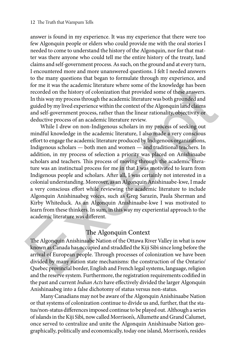answer is found in my experience. It was my experience that there were too few Algonquin people or elders who could provide me with the oral stories I needed to come to understand the history of the Algonquin, nor for that matter was there anyone who could tell me the entire history of the treaty, land claims and self-government process. As such, on the ground and at every turn, I encountered more and more unanswered questions. I felt I needed answers to the many questions that began to formulate through my experience, and for me it was the academic literature where some of the knowledge has been recorded on the history of colonization that provided some of these answers. In this way my process through the academic literature was both grounded and guided by my lived experience within the context of the Algonquin land claims and self-government process, rather than the linear rationality, objectivity or deductive process of an academic literature review.

While I drew on non-Indigenous scholars in my process of seeking out mindful knowledge in the academic literature, I also made a very conscious effort to engage the academic literature produced by Indigenous organizations, Indigenous scholars — both men and women — and traditional teachers. In addition, in my process of selection a priority was placed on Anishinaabe scholars and teachers. This process of moving through the academic literature was an instinctual process for me in that I was motivated to learn from Indigenous people and scholars. After all, I was certainly not interested in a colonial understanding. Moreover, as an Algonquin Anishinaabe-kwe, I made a very conscious effort while reviewing the academic literature to include Algonquin Anishinaabeg voices, such as Greg Sarazin, Paula Sherman and Kirby Whiteduck. As an Algonquin Anishinaabe-kwe I was motivated to learn from these thinkers. In sum, in this way my experiential approach to the academic literature was different. for me it was the academic literature where some of the knowledge has been<br>recorded on the history of colonization that provided some of these answers.<br>In this way my process through the academic literature was both groun

#### The Algonquin Context

The Algonquin Anishinaabe Nation of the Ottawa River Valley in what is now known as Canada has occupied and straddled the Kiji Sìbì since long before the arrival of European people. Through processes of colonization we have been divided by many nation state mechanisms: the construction of the Ontario/ Quebec provincial border, English and French legal systems, language, religion and the reserve system. Furthermore, the registration requirements codified in the past and current *Indian Acts* have effectively divided the larger Algonquin Anishinaabeg into a false dichotomy of status versus non-status.

Many Canadians may not be aware of the Algonquin Anishinaabe Nation or that systems of colonization continue to divide us and, further, that the status/non-status differences imposed continue to be played out. Although a series of islands in the Kiji Sìbì, now called Morrison's, Allumette and Grand Calumet, once served to centralize and unite the Algonquin Anishinaabe Nation geographically, politically and economically, today one island, Morrison's, resides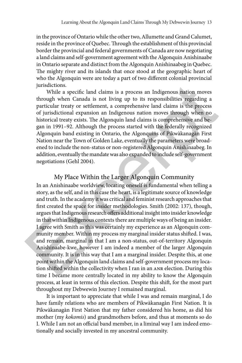in the province of Ontario while the other two, Allumette and Grand Calumet, reside in the province of Quebec. Through the establishment of this provincial border the provincial and federal governments of Canada are now negotiating a land claims and self-government agreement with the Algonquin Anishinaabe in Ontario separate and distinct from the Algonquin Anishinaabeg in Quebec. The mighty river and its islands that once stood at the geographic heart of who the Algonquin were are today a part of two different colonial provincial jurisdictions.

While a specific land claims is a process an Indigenous nation moves through when Canada is not living up to its responsibilities regarding a particular treaty or settlement, a comprehensive land claims is the process of jurisdictional expansion an Indigenous nation moves through when no historical treaty exists. The Algonquin land claims is comprehensive and began in 1991–92. Although the process started with the federally recognized Algonquin band existing in Ontario, the Algonquins of Pikwàkanagàn First Nation near the Town of Golden Lake, eventually the parameters were broadened to include the non-status or non-registered Algonquin Anishinaabeg. In addition, eventually the mandate was also expanded to include self-government negotiations (Gehl 2004).

#### My Place Within the Larger Algonquin Community

In an Anishinaabe worldview, locating oneself is fundamental when telling a story, as the self, and in this case the heart, is a legitimate source of knowledge and truth. In the academy it was critical and feminist research approaches that first created the space for insider methodologies. Smith (2002: 137), though, argues that Indigenous research offers additional insight into insider knowledge in that within Indigenous contexts there are multiple ways of being an insider. I agree with Smith as this was certainly my experience as an Algonquin community member. Within my process my marginal insider status shifted. I was, and remain, marginal in that I am a non-status, out-of-territory Algonquin Anishinaabe-kwe, however I am indeed a member of the larger Algonquin community. It is in this way that I am a marginal insider. Despite this, at one point within the Algonquin land claims and self-government process my location shifted within the collectivity when I ran in an ANR election. During this time I became more centrally located in my ability to know the Algonquin process, at least in terms of this election. Despite this shift, for the most part throughout my Debwewin Journey I remained marginal. jurisdictions.<br>
While a specific land claims is a process an Indigenous mation moves<br>
while a specific land claims is a process an Indigenous nation moves<br>
through when Canada is not living up to its responsibilities regar

It is important to appreciate that while I was and remain marginal, I do have family relations who are members of Pikwàkanagàn First Nation. It is Pikwàkanagàn First Nation that my father considered his home, as did his mother (my *kokomis*) and grandmothers before, and thus at moments so do I. While I am not an official band member, in a liminal way I am indeed emotionally and socially invested in my ancestral community.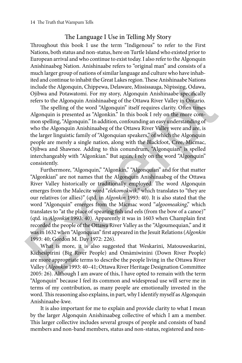#### The Language I Use in Telling My Story

Throughout this book I use the term "Indigenous" to refer to the First Nations, both status and non-status, here on Turtle Island who existed prior to European arrival and who continue to exist today. I also refer to the Algonquin Anishinaabeg Nation. Anishinaabe refers to "original man" and consists of a much larger group of nations of similar language and culture who have inhabited and continue to inhabit the Great Lakes region. These Anishinaabe Nations include the Algonquin, Chippewa, Delaware, Mississauga, Nipissing, Odawa, Ojibwa and Potawatomi. For my story, Algonquin Anishinaabe specifically refers to the Algonquin Anishinaabeg of the Ottawa River Valley in Ontario.

The spelling of the word "Algonquin" itself requires clarity. Often times Algonquin is presented as "Algonkin." In this book I rely on the more common spelling, "Algonquin." In addition, confounding an easy understanding of who the Algonquin Anishinaabeg of the Ottawa River Valley were and are, is the larger linguistic family of "Algonquian speakers," of which the Algonquin people are merely a single nation, along with the Blackfoot, Cree, Micmac, Ojibwa and Shawnee. Adding to this conundrum, "Algonquian" is spelled interchangeably with "Algonkian." But again, I rely on the word "Algonquin" consistently.

Furthermore, "Algonquin," "Algonkin," "Algonquian" and for that matter "Algonkian" are not names that the Algonquin Anishinaabeg of the Ottawa River Valley historically or traditionally employed. The word Algonquin emerges from the Malecite word "*elekomokwik*," which translates to "they are our relatives (or allies)" (qtd. in *Algonkin* 1993: 40). It is also stated that the word "Algonquin" emerges from the Micmac word "*algoomeaking*," which translates to "at the place of spearing fish and eels (from the bow of a canoe)" (qtd. in *Algonkin* 1993: 40). Apparently it was in 1603 when Champlain first recorded the people of the Ottawa River Valley as the "Algoumequian," and it was in 1632 when "Algonquian" first appeared in the Jesuit Relations (*Algonkin* 1993: 40; Gordon M. Day 1972: 226). include the Algonquin, Chippewa, Delaware, Mississauga, Nipissing, Odawa, Ojibwa and Potawatomi. For my story, Algonquin Anishinaabe specifically refers to the Algonquin Anishinaabeg of the Ottawa River Valley in Ontario.

What is more, it is also suggested that Weskarini, Matouweskarini, Kichesipirini (Big River People) and Omàmiwinini (Down River People) are more appropriate terms to describe the people living in the Ottawa River Valley (*Algonkin* 1993: 40–41; Ottawa River Heritage Designation Committee 2005: 26). Although I am aware of this, I have opted to remain with the term "Algonquin" because I feel its common and widespread use will serve me in terms of my contribution, as many people are emotionally invested in the word. This reasoning also explains, in part, why I identify myself as Algonquin Anishinaabe-kwe.

It is also important for me to explain and provide clarity to what I mean by the larger Algonquin Anishinaabeg collective of which I am a member. This larger collective includes several groups of people and consists of band members and non-band members, status and non-status, registered and non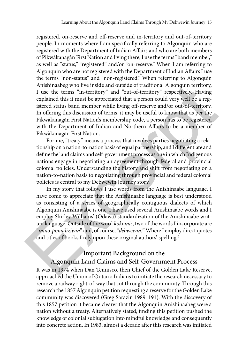registered, on-reserve and off-reserve and in-territory and out-of-territory people. In moments where I am specifically referring to Algonquin who are registered with the Department of Indian Affairs and who are both members of Pikwàkanagàn First Nation and living there, I use the terms "band member," as well as "status," "registered" and/or "on-reserve." When I am referring to Algonquin who are not registered with the Department of Indian Affairs I use the terms "non-status" and "non-registered." When referring to Algonquin Anishinaabeg who live inside and outside of traditional Algonquin territory, I use the terms "in-territory" and "out-of-territory" respectively. Having explained this it must be appreciated that a person could very well be a registered status band member while living off-reserve and/or out-of-territory. In offering this discussion of terms, it may be useful to know that as per the Pikwàkanagàn First Nation's membership code, a person has to be registered with the Department of Indian and Northern Affairs to be a member of Pikwàkanagàn First Nation.

For me, "treaty" means a process that involves parties negotiating a relationship on a nation-to-nation basis of equal partnership, and I differentiate and define the land claims and self-government process as one in which Indigenous nations engage in negotiating an agreement through federal and provincial colonial policies. Understanding the history and shift from negotiating on a nation-to-nation basis to negotiating through provincial and federal colonial policies is central to my Debwewin Journey story.

In my story that follows I use words from the Anishinaabe language. I have come to appreciate that the Anishinaabe language is best understood as consisting of a series of geographically contiguous dialects of which Algonquin Anishinaabe is one. I have used several Anishinaabe words and I employ Shirley Williams' (Odawa) standardization of the Anishinaabe written language. Outside of the word *kokomis*, two of the words I incorporate are "*mino-pimadiziwin*" and, of course, "*debwewin.*" Where I employ direct quotes and titles of books I rely upon these original authors' spelling.<sup>5</sup> Anishinaabeg who live inside and outside of traditional Algonquin territory,<br>
I use the terms "in-territory" and "out-of-territory" respectively. Having<br>
cyplained this it must be appreciated that a person could very well

### Important Background on the Algonquin Land Claims and Self-Government Process

It was in 1974 when Dan Tennisco, then Chief of the Golden Lake Reserve, approached the Union of Ontario Indians to initiate the research necessary to remove a railway right-of-way that cut through the community. Through this research the 1857 Algonquin petition requesting a reserve for the Golden Lake community was discovered (Greg Sarazin 1989: 191). With the discovery of this 1857 petition it became clearer that the Algonquin Anishinaabeg were a nation without a treaty. Alternatively stated, finding this petition pushed the knowledge of colonial subjugation into mindful knowledge and consequently into concrete action. In 1983, almost a decade after this research was initiated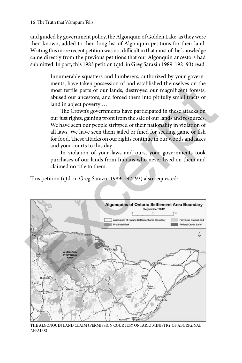and guided by government policy, the Algonquin of Golden Lake, as they were then known, added to their long list of Algonquin petitions for their land. Writing this more recent petition was not difficult in that most of the knowledge came directly from the previous petitions that our Algonquin ancestors had submitted. In part, this 1983 petition (qtd. in Greg Sarazin 1989: 192–93) read:

> Innumerable squatters and lumberers, authorized by your governments, have taken possession of and established themselves on the most fertile parts of our lands, destroyed our magnificent forests, abused our ancestors, and forced them into pitifully small tracts of land in abject poverty …

> The Crown's governments have participated in these attacks on our just rights, gaining profit from the sale of our lands and resources. We have seen our people stripped of their nationality in violation of all laws. We have seen them jailed or fined for seeking game or fish for food. These attacks on our rights continue in our woods and lakes and your courts to this day …

> In violation of your laws and ours, your governments took purchases of our lands from Indians who never lived on them and claimed no title to them.

This petition (qtd. in Greg Sarazin 1989: 192–93) also requested:



The Algonquin Land Claim (Permission courtesy Ontario Ministry of Aboriginal Affairs)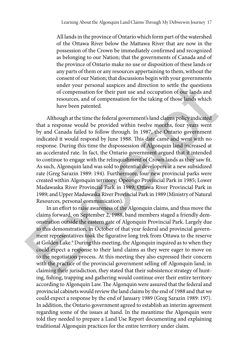All lands in the province of Ontario which form part of the watershed of the Ottawa River below the Mattawa River that are now in the possession of the Crown be immediately confirmed and recognized as belonging to our Nation; that the governments of Canada and of the province of Ontario make no use or disposition of these lands or any parts of them or any resources appertaining to them, without the consent of our Nation; that discussions begin with your governments under your personal auspices and direction to settle the questions of compensation for their past use and occupation of our lands and resources, and of compensation for the taking of those lands which have been patented.

Although at the time the federal government's land claims policy indicated that a response would be provided within twelve months, four years went by and Canada failed to follow through. In 1987, the Ontario government indicated it would respond by June 1988. This date came and went with no response. During this time the dispossession of Algonquin land increased at an accelerated rate. In fact, the Ontario government argued that it intended to continue to engage with the relinquishment of Crown lands as they saw fit. As such, Algonquin land was sold to potential developers at a new subsidized rate (Greg Sarazin 1989: 194). Furthermore, four new provincial parks were created within Algonquin territory: Opeongo Provincial Park in 1985; Lower Madawaska River Provincial Park in 1989; Ottawa River Provincial Park in 1989; and Upper Madawaska River Provincial Park in 1989 (Ministry of Natural Resources, personal communication). under your personal auspices and direction to settle the questions of compensation for their past use and occupation of our lands and resources, and of compensation for the taking of those lands which have been patented.<br>

In an effort to raise awareness of the Algonquin claims, and thus move the claims forward, on September 2, 1988, band members staged a friendly demonstration outside the eastern gate of Algonquin Provincial Park. Largely due to this demonstration, in October of that year federal and provincial government representatives took the figurative long trek from Ottawa to the reserve at Golden Lake.<sup>6</sup> During this meeting, the Algonquin inquired as to when they could expect a response to their land claims as they were eager to move on to the negotiation process. At this meeting they also expressed their concern with the practice of the provincial government selling off Algonquin land; in claiming their jurisdiction, they stated that their subsistence strategy of hunting, fishing, trapping and gathering would continue over their entire territory according to Algonquin Law. The Algonquin were assured that the federal and provincial cabinets would review the land claims by the end of 1988 and that we could expect a response by the end of January 1989 (Greg Sarazin 1989: 197). In addition, the Ontario government agreed to establish an interim agreement regarding some of the issues at hand. In the meantime the Algonquin were told they needed to prepare a Land Use Report documenting and explaining traditional Algonquin practices for the entire territory under claim.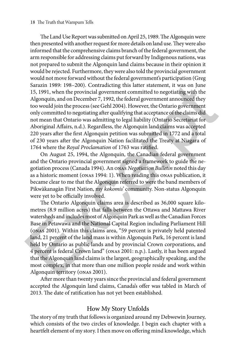The Land Use Report was submitted on April 25, 1989. The Algonquin were then presented with another request for more details on land use. They were also informed that the comprehensive claims branch of the federal government, the arm responsible for addressing claims put forward by Indigenous nations, was not prepared to submit the Algonquin land claims because in their opinion it would be rejected. Furthermore, they were also told the provincial government would not move forward without the federal government's participation (Greg Sarazin 1989: 198–200). Contradicting this latter statement, it was on June 15, 1991, when the provincial government committed to negotiating with the Algonquin, and on December 7, 1992, the federal government announced they too would join the process (see Gehl 2004). However, the Ontario government only committed to negotiating after qualifying that acceptance of the claims did not mean that Ontario was admitting to legal liability (Ontario Secretariat for Aboriginal Affairs, n.d.). Regardless, the Algonquin land claims was accepted 220 years after the first Algonquin petition was submitted in 1772 and a total of 230 years after the Algonquin Nation facilitated the Treaty at Niagara of 1764 where the *Royal Proclamation* of 1763 was ratified.

On August 25, 1994, the Algonquin, the Canadian federal government and the Ontario provincial government signed a framework to guide the negotiation process (Canada 1994). An onas *Negotiation Bulletin* noted this day as a historic moment (onas 1994: 1). When reading this onas publication, it became clear to me that the Algonquin referred to were the band members of Pikwàkanagàn First Nation, my *kokomis'* community. Non-status Algonquin were yet to be officially involved.

The Ontario Algonquin claims area is described as 36,000 square kilometres (8.9 million acres) that falls between the Ottawa and Mattawa River watersheds and includes most of Algonquin Park as well as the Canadian Forces Base in Petawawa and the National Capital Region including Parliament Hill (onas 2001). Within this claims area, "59 percent is privately held patented land, 21 percent of the land mass is within Algonquin Park, 16 percent is land held by Ontario as public lands and by provincial Crown corporations, and 4 percent is federal Crown land" (onas 2001: n.p.). Lastly, it has been argued that the Algonquin land claims is the largest, geographically speaking, and the most complex, in that more than one million people reside and work within Algonquin territory (onas 2001). Sarazin 1989: 198-200). Contradicting this latter statement, it was on June 15, 1991, when the provincial government committed to negotiating with the Algonquin, and on December 7, 1992, the federal government announced t

After more than twenty years since the provincial and federal government accepted the Algonquin land claims, Canada's offer was tabled in March of 2013. The date of ratification has not yet been established.

#### How My Story Unfolds

The story of my truth that follows is organized around my Debwewin Journey, which consists of the two circles of knowledge. I begin each chapter with a heartfelt element of my story. I then move on offering mind knowledge, which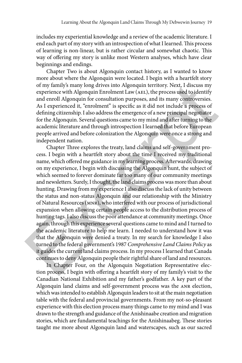includes my experiential knowledge and a review of the academic literature. I end each part of my story with an introspection of what I learned. This process of learning is non-linear, but is rather circular and somewhat chaotic. This way of offering my story is unlike most Western analyses, which have clear beginnings and endings.

Chapter Two is about Algonquin contact history, as I wanted to know more about where the Algonquin were located. I begin with a heartfelt story of my family's many long drives into Algonquin territory. Next, I discuss my experience with Algonquin Enrolment Law (AEL), the process used to identify and enroll Algonquin for consultation purposes, and its many controversies. As I experienced it, "enrolment" is specific as it did not include a process of defining citizenship. I also address the emergence of a new principal negotiator for the Algonquin. Several questions came to my mind and after turning to the academic literature and through introspection I learned that before European people arrived and before colonization the Algonquin were once a strong and independent nation.

Chapter Three explores the treaty, land claims and self-government process. I begin with a heartfelt story about the time I received my traditional name, which offered me guidance in my learning process. Afterwards, drawing on my experience, I begin with discussing the Algonquin hunt, the subject of which seemed to forever dominate far too many of our community meetings and newsletters. Surely, I thought, the land claims process was more than about hunting. Drawing from my experience I also discuss the lack of unity between the status and non-status Algonquin and our relationship with the Ministry of Natural Resources (mnr), who interfered with our process of jurisdictional expansion when allowing certain people access to the distribution process of hunting tags. I also discuss the poor attendance at community meetings. Once again, through this experience several questions came to mind and I turned to the academic literature to help me learn. I needed to understand how it was that the Algonquin were denied a treaty. In my search for knowledge I also turned to the federal government's 1987 *Comprehensive Land Claims Policy* as it guides the current land claims process. In my process I learned that Canada continues to deny Algonquin people their rightful share of land and resources. of my family's many long drives into Algonquin territory. Next, I discuss my experience with Algonquin Enrolment Law (aEL), the process used to identify and enroll Algonquin for consultation purposes, and its many controv

In Chapter Four, on the Algonquin Negotiation Representative election process, I begin with offering a heartfelt story of my family's visit to the Canadian National Exhibition and my father's godfather. A key part of the Algonquin land claims and self-government process was the anr election, which was intended to establish Algonquin leaders to sit at the main negotiation table with the federal and provincial governments. From my not-so-pleasant experience with this election process many things came to my mind and I was drawn to the strength and guidance of the Anishinaabe creation and migration stories, which are fundamental teachings for the Anishinaabeg. These stories taught me more about Algonquin land and waterscapes, such as our sacred